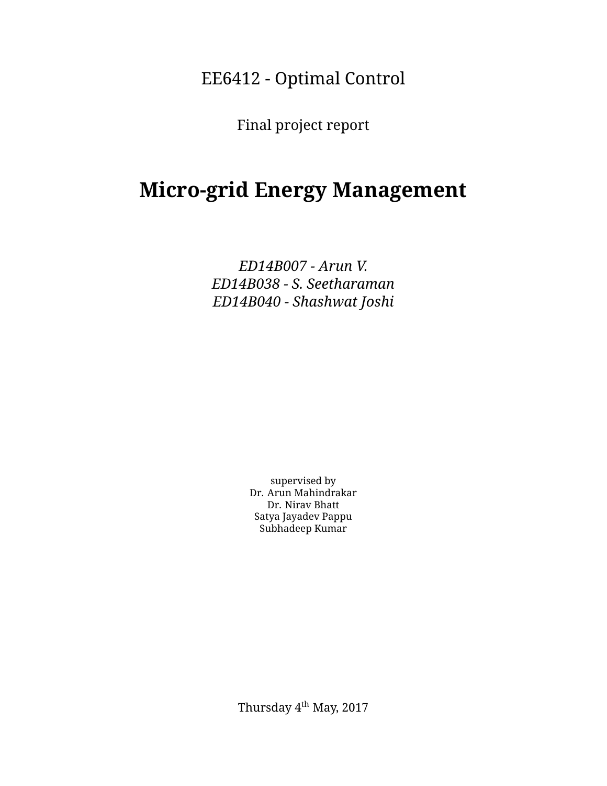EE6412 - Optimal Control

Final project report

# **Micro-grid Energy Management**

*E D 1 4 B 0 0 7 - A r u n V . E D 1 4 B 0 3 8 - S . S e e t h a r a m a n E D 1 4 B 0 4 0 - S h a s h w a t J o s h i*

> supervised by Dr. Arun Mahindrakar Dr. Nirav Bhatt Satya Jayadev Pappu Subhadeep Kumar

Thursday 4<sup>th</sup> May, 2017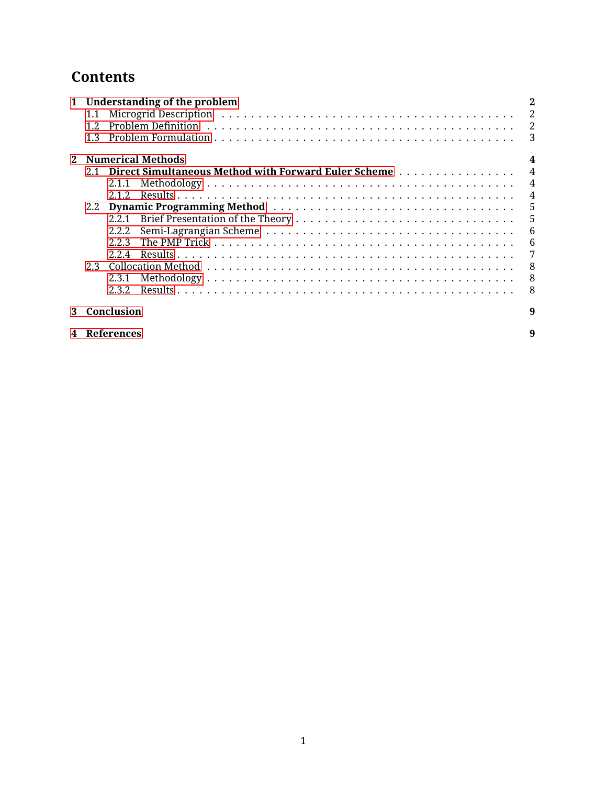## **Contents**

|  | 1 Understanding of the problem |            |                                                             |                 |
|--|--------------------------------|------------|-------------------------------------------------------------|-----------------|
|  | 1.1                            |            |                                                             | $\overline{2}$  |
|  | 1.2.                           |            |                                                             |                 |
|  | 1.3                            |            |                                                             |                 |
|  | 2 Numerical Methods            |            |                                                             |                 |
|  | 2.1                            |            | <b>Direct Simultaneous Method with Forward Euler Scheme</b> | $\overline{4}$  |
|  |                                | 2.1.1      |                                                             | $\overline{4}$  |
|  |                                | 2.1.2.     |                                                             | $\overline{4}$  |
|  | 2.2                            |            | 5                                                           |                 |
|  |                                | 2.2.1      | 5                                                           |                 |
|  |                                | 2.2.2      |                                                             | $6\phantom{1}6$ |
|  |                                | 223        |                                                             | $-6$            |
|  |                                | 224        |                                                             | 7               |
|  | 2.3                            |            |                                                             | - 8             |
|  |                                | 2.3.1      |                                                             | 8               |
|  |                                | 2.3.2.     |                                                             | -8              |
|  |                                | Conclusion |                                                             | 9               |

| 4 References |  |  |
|--------------|--|--|
|--------------|--|--|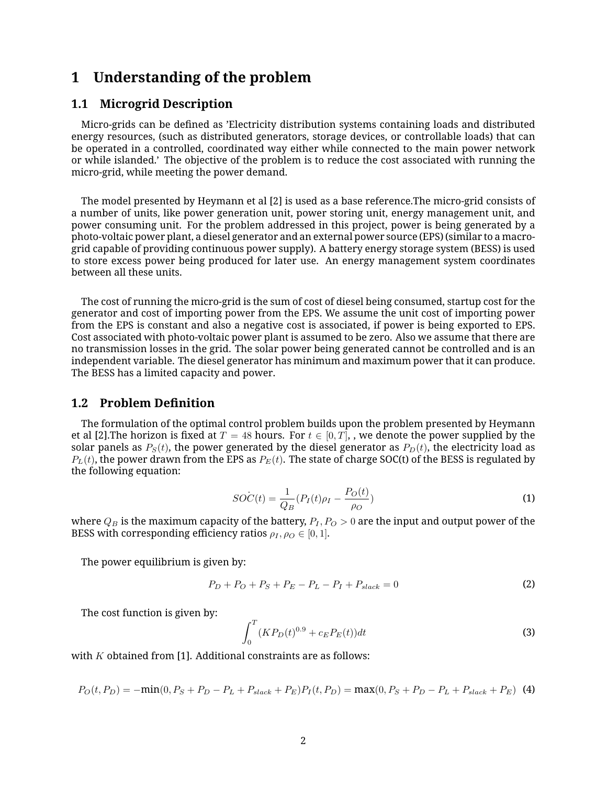## <span id="page-2-0"></span>**1** Understanding of the problem

#### <span id="page-2-1"></span>**1.1 Microgrid Description**

Micro-grids can be defined as 'Electricity distribution systems containing loads and distributed energy resources, (such as distributed generators, storage devices, or controllable loads) that can be operated in a controlled, coordinated way either while connected to the main power network or while islanded.' The objective of the problem is to reduce the cost associated with running the micro-grid, while meeting the power demand.

The model presented by Heymann et al [2] is used as a base reference. The micro-grid consists of a number of units, like power generation unit, power storing unit, energy management unit, and power consuming unit. For the problem addressed in this project, power is being generated by a photo-voltaic power plant, a diesel generator and an external power source (EPS) (similar to a macrogrid capable of providing continuous power supply). A battery energy storage system (BESS) is used to store excess power being produced for later use. An energy management system coordinates between all these units.

The cost of running the micro-grid is the sum of cost of diesel being consumed, startup cost for the generator and cost of importing power from the EPS. We assume the unit cost of importing power from the EPS is constant and also a negative cost is associated, if power is being exported to EPS. Cost associated with photo-voltaic power plant is assumed to be zero. Also we assume that there are no transmission losses in the grid. The solar power being generated cannot be controlled and is an in dependent variable. The diesel generator has minimum and maximum power that it can produce. The BESS has a limited capacity and power.

#### <span id="page-2-2"></span>**1.2 Problem Definition**

The formulation of the optimal control problem builds upon the problem presented by Heymann et al [2]. The horizon is fixed at  $T = 48$  hours. For  $t \in [0, T]$ , we denote the power supplied by the solar panels as  $P<sub>S</sub>(t)$ , the power generated by the diesel generator as  $P<sub>D</sub>(t)$ , the electricity load as  $P_L(t)$ , the power drawn from the EPS as  $P_E(t)$ . The state of charge SOC(t) of the BESS is regulated by the following equation:

<span id="page-2-4"></span>
$$
SO\dot{C}(t) = \frac{1}{Q_B}(P_I(t)\rho_I - \frac{P_O(t)}{\rho_O})
$$
\n<sup>(1)</sup>

where  $Q_B$  is the maximum capacity of the battery,  $P_I, P_O > 0$  are the input and output power of the BESS with corresponding efficiency ratios  $\rho_I, \rho_O \in [0, 1]$ .

The power equilibrium is given by:

$$
P_D + P_O + P_S + P_E - P_L - P_I + P_{slack} = 0
$$
\n(2)

The cost function is given by:

<span id="page-2-3"></span>
$$
\int_{0}^{T} (KP_D(t)^{0.9} + c_E P_E(t))dt
$$
\n(3)

with  $K$  obtained from [1]. Additional constraints are as follows:

$$
P_O(t, P_D) = -\min(0, P_S + P_D - P_L + P_{slack} + P_E)P_I(t, P_D) = \max(0, P_S + P_D - P_L + P_{slack} + P_E)
$$
 (4)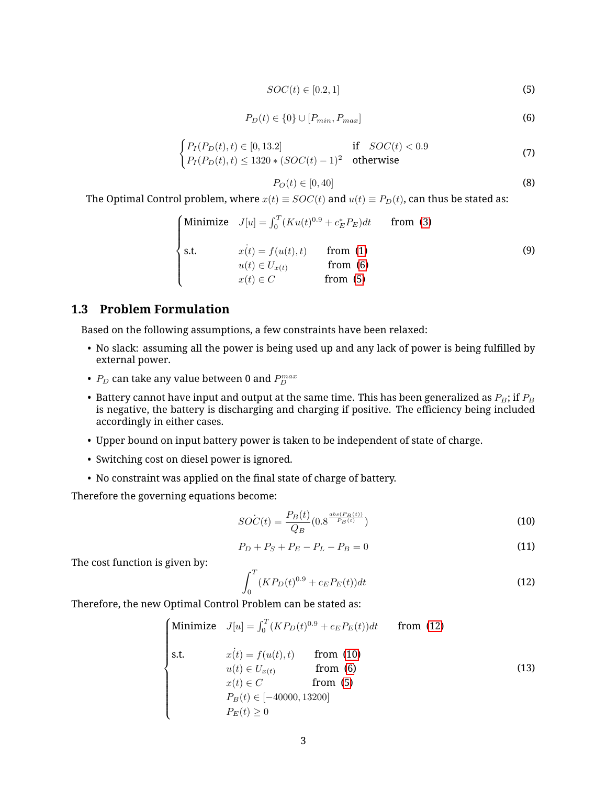<span id="page-3-2"></span>
$$
SOC(t) \in [0.2, 1] \tag{5}
$$

<span id="page-3-1"></span>
$$
P_D(t) \in \{0\} \cup [P_{min}, P_{max}] \tag{6}
$$

$$
\begin{cases}\nP_I(P_D(t), t) \in [0, 13.2] & \text{if } SOC(t) < 0.9 \\
P_I(P_D(t), t) \le 1320 * (SOC(t) - 1)^2 & \text{otherwise}\n\end{cases}
$$
\n(7)

$$
P_O(t) \in [0, 40] \tag{8}
$$

The Optimal Control problem, where  $x(t) \equiv SOC(t)$  and  $u(t) \equiv P_D(t)$ , can thus be stated as:

$$
\begin{cases}\n\text{Minimize} & J[u] = \int_0^T (Ku(t)^{0.9} + c_E^* P_E) dt & \text{from (3)} \\
\text{s.t.} & x(t) = f(u(t), t) & \text{from (1)} \\
& u(t) \in U_{x(t)} & \text{from (6)} \\
& x(t) \in C & \text{from (5)}\n\end{cases}\n\tag{9}
$$

#### <span id="page-3-0"></span>**1.3 Problem Formulation**

Based on the following assumptions, a few constraints have been relaxed:

- No slack: assuming all the power is being used up and any lack of power is being fulfilled by external power.
- $\bullet$   $\ P_D$  can take any value between 0 and  $P_D^{max}$
- Battery cannot have input and output at the same time. This has been generalized as  $P_B$ ; if  $P_B$ is negative, the battery is discharging and charging if positive. The efficiency being included accordingly in either cases.
- Upper bound on input battery power is taken to be independent of state of charge.
- Switching cost on diesel power is ignored.
- No constraint was applied on the final state of charge of battery.

Therefore the governing equations become:

<span id="page-3-4"></span>
$$
SOC(t) = \frac{P_B(t)}{Q_B}(0.8^{\frac{abs(P_B(t))}{P_B(t)}})
$$
\n(10)

$$
P_D + P_S + P_E - P_L - P_B = 0 \tag{11}
$$

The cost function is given by:

<span id="page-3-3"></span>
$$
\int_0^T (KP_D(t)^{0.9} + c_E P_E(t))dt\tag{12}
$$

Therefore, the new Optimal Control Problem can be stated as:

$$
\begin{cases}\n\text{Minimize} & J[u] = \int_0^T (KP_D(t)^{0.9} + c_E P_E(t))dt & \text{from (12)} \\
\text{s.t.} & x(t) = f(u(t), t) & \text{from (10)} \\
& u(t) \in U_{x(t)} & \text{from (6)} \\
& x(t) \in C & \text{from (5)} \\
& P_B(t) \in [-40000, 13200] \\
& P_E(t) \ge 0\n\end{cases} \tag{13}
$$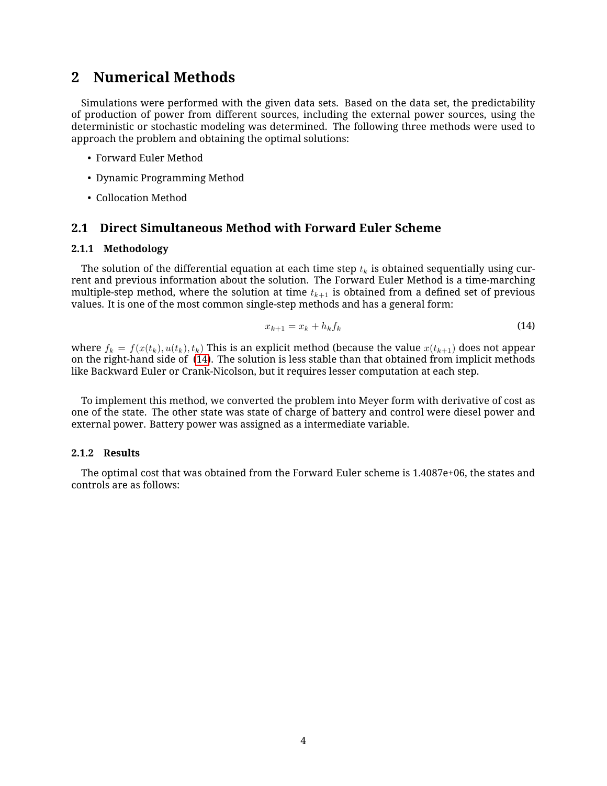### <span id="page-4-0"></span>**2** Numerical Methods

Simulations were performed with the given data sets. Based on the data set, the predictability of production of power from different sources, including the external power sources, using the deterministic or stochastic modeling was determined. The following three methods were used to approach the problem and obtaining the optimal solutions:

- Forward Euler Method
- Dynamic Programming Method
- Collocation Method

#### <span id="page-4-1"></span>**2.1 Direct Simultaneous Method with Forward Euler Scheme**

#### <span id="page-4-2"></span>2.1.1 Methodology

The solution of the differential equation at each time step  $t_k$  is obtained sequentially using current and previous information about the solution. The Forward Euler Method is a time-marching multiple-step method, where the solution at time  $t_{k+1}$  is obtained from a defined set of previous values. It is one of the most common single-step methods and has a general form:

<span id="page-4-4"></span>
$$
x_{k+1} = x_k + h_k f_k \tag{14}
$$

where  $f_k = f(x(t_k), u(t_k), t_k)$  This is an explicit method (because the value  $x(t_{k+1})$  does not appear onthe right-hand side of (14). The solution is less stable than that obtained from implicit methods like Backward Euler or Crank-Nicolson, but it requires lesser computation at each step.

To implement this method, we converted the problem into Meyer form with derivative of cost as one of the state. The other state was state of charge of battery and control were diesel power and external power. Battery power was assigned as a intermediate variable.

#### <span id="page-4-3"></span>**2.1.2 Results**

The optimal cost that was obtained from the Forward Euler scheme is  $1.4087e+06$ , the states and controls are as follows: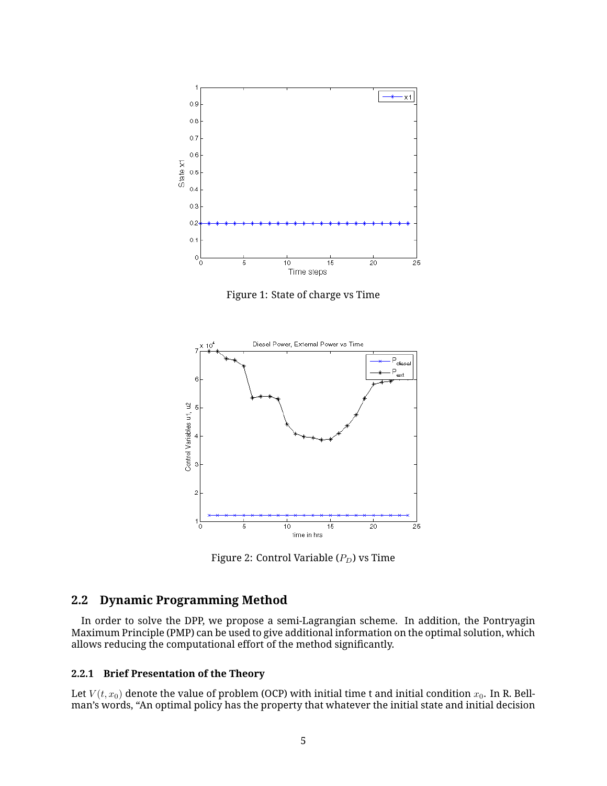

Figure 1: State of charge vs Time



Figure 2: Control Variable ( $P_D$ ) vs Time

#### <span id="page-5-0"></span>**2.2 Dynamic Programming Method**

In order to solve the DPP, we propose a semi-Lagrangian scheme. In addition, the Pontryagin Maximum Principle (PMP) can be used to give additional information on the optimal solution, which allows reducing the computational effort of the method significantly.

#### <span id="page-5-1"></span>**2.2.1 Brief Presentation of the Theory**

Let  $V(t, x_0)$  denote the value of problem (OCP) with initial time t and initial condition  $x_0$ . In R. Bellman's words, "An optimal policy has the property that whatever the initial state and initial decision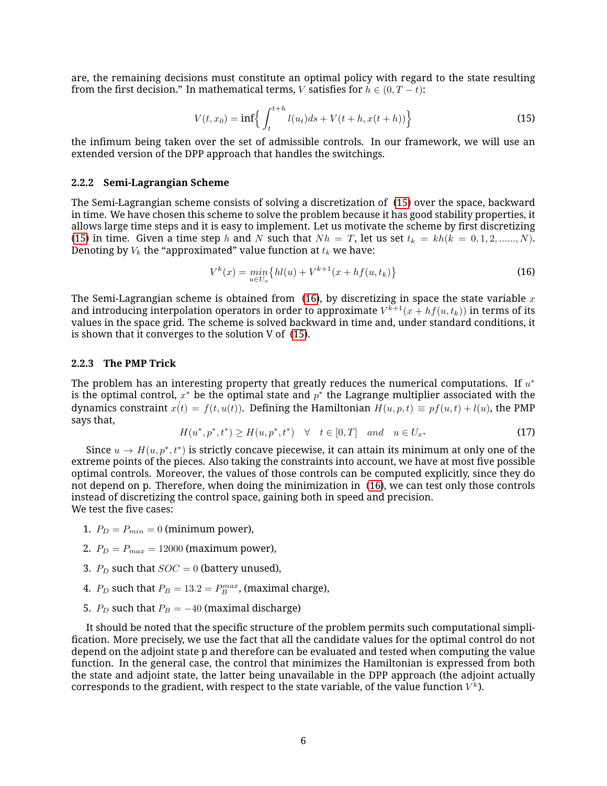are, the remaining decisions must constitute an optimal policy with regard to the state resulting from the first decision." In mathematical terms, V satisfies for  $h \in (0, T - t)$ :

<span id="page-6-2"></span>
$$
V(t, x_0) = \inf \left\{ \int_t^{t+h} l(u_t) ds + V(t+h, x(t+h)) \right\}
$$
 (15)

the infimum being taken over the set of admissible controls. In our framework, we will use an extended version of the DPP approach that handles the switchings.

#### <span id="page-6-0"></span>2.2.2 Semi-Lagrangian Scheme

TheSemi-Lagrangian scheme consists of solving a discretization of (15) over the space, backward in time. We have chosen this scheme to solve the problem because it has good stability properties, it allows large time steps and it is easy to implement. Let us motivate the scheme by first discretizing (15) in time. Given a time step h and N such that  $Nh = T$ , let us set  $t_k = kh(k = 0, 1, 2, \dots, N)$ . Denoting by  $V_k$  the "approximated" value function at  $t_k$  we have:

<span id="page-6-3"></span>
$$
V^{k}(x) = \min_{u \in U_x} \{ hl(u) + V^{k+1}(x + hf(u, t_k)) \}
$$
\n(16)

TheSemi-Lagrangian scheme is obtained from (16), by discretizing in space the state variable  $x$ and introducing interpolation operators in order to approximate  $V^{k+1}(x+hf(u,t_k))$  in terms of its values in the space grid. The scheme is solved backward in time and, under standard conditions, it isshown that it converges to the solution  $V$  of  $(15)$ .

#### <span id="page-6-1"></span>**2.2.3** The PMP Trick

The problem has an interesting property that greatly reduces the numerical computations. If  $u^*$ is the optimal control,  $x^*$  be the optimal state and  $p^*$  the Lagrange multiplier associated with the dynamics constraint  $\dot{x}(t) = f(t, u(t))$ . Defining the Hamiltonian  $H(u, p, t) \equiv pf(u, t) + l(u)$ , the PMP says that,

$$
H(u^*, p^*, t^*) \ge H(u, p^*, t^*) \quad \forall \quad t \in [0, T] \quad and \quad u \in U_{x^*}
$$
 (17)

Since  $u \to H(u, p^*, t^*)$  is strictly concave piecewise, it can attain its minimum at only one of the extreme points of the pieces. Also taking the constraints into account, we have at most five possible optimal controls. Moreover, the values of those controls can be computed explicitly, since they do notdepend on p. Therefore, when doing the minimization in (16), we can test only those controls in stead of discretizing the control space, gaining both in speed and precision. We test the five cases:

- 1.  $P_D = P_{min} = 0$  (minimum power),
- 2.  $P_D = P_{max} = 12000$  (maximum power),
- 3.  $P_D$  such that  $SOC = 0$  (battery unused),
- 4.  $P_D$  such that  $P_B = 13.2 = P_B^{max}$ , (maximal charge),
- 5.  $P_D$  such that  $P_B = -40$  (maximal discharge)

It should be noted that the specific structure of the problem permits such computational simplification. More precisely, we use the fact that all the candidate values for the optimal control do not depend on the adjoint state p and therefore can be evaluated and tested when computing the value function. In the general case, the control that minimizes the Hamiltonian is expressed from both the state and adjoint state, the latter being unavailable in the DPP approach (the adjoint actually corresponds to the gradient, with respect to the state variable, of the value function  $V^k$ ).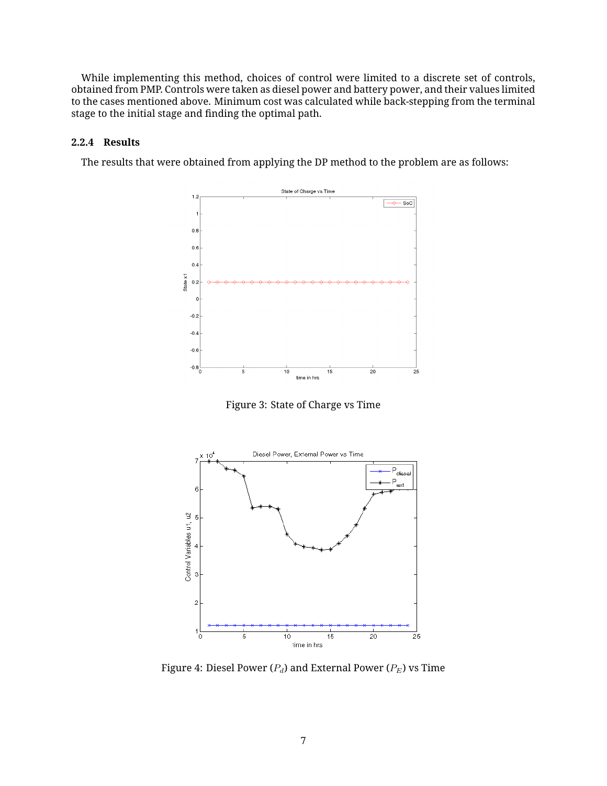While implementing this method, choices of control were limited to a discrete set of controls, obtained from PMP. Controls were taken as diesel power and battery power, and their values limited to the cases mentioned above. Minimum cost was calculated while back-stepping from the terminal stage to the initial stage and finding the optimal path.

#### <span id="page-7-0"></span>**2.2.4 Results**

The results that were obtained from applying the DP method to the problem are as follows:



Figure 3: State of Charge vs Time



Figure 4: Diesel Power ( $P_d$ ) and External Power ( $P_E$ ) vs Time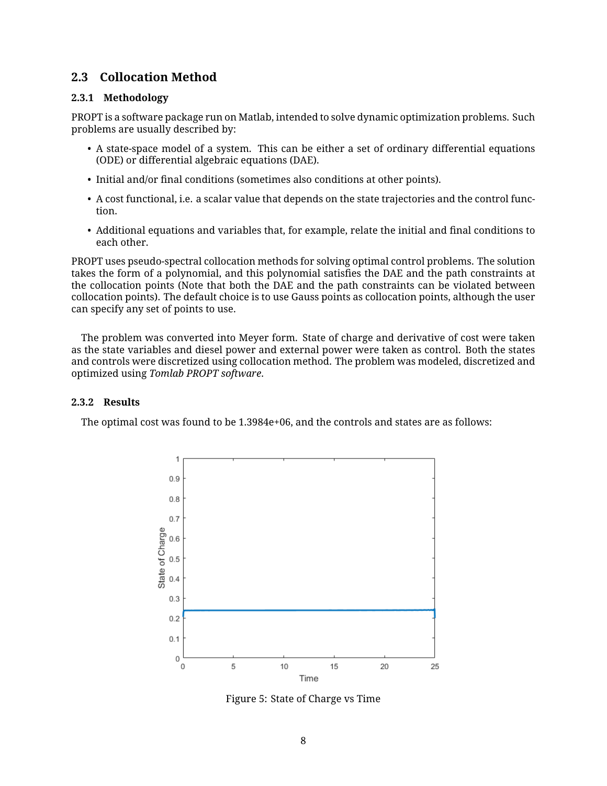#### <span id="page-8-0"></span>**2.3 Collocation Method**

#### <span id="page-8-1"></span>**2.3.1 Methodology**

PROPT is a software package run on Matlab, intended to solve dynamic optimization problems. Such problems are usually described by:

- A state-space model of a system. This can be either a set of ordinary differential equations (ODE) or differential algebraic equations (DAE).
- Initial and/or final conditions (sometimes also conditions at other points).
- A cost functional, i.e. a scalar value that depends on the state trajectories and the control function.
- Additional equations and variables that, for example, relate the initial and final conditions to each other.

PROPT uses pseudo-spectral collocation methods for solving optimal control problems. The solution takes the form of a polynomial, and this polynomial satisfies the DAE and the path constraints at the collocation points (Note that both the DAE and the path constraints can be violated between collocation points). The default choice is to use Gauss points as collocation points, although the user can specify any set of points to use.

The problem was converted into Meyer form. State of charge and derivative of cost were taken as the state variables and diesel power and external power were taken as control. Both the states and controls were discretized using collocation method. The problem was modeled, discretized and optimized using *Tomlab PROPT* software.

#### <span id="page-8-2"></span>**2.3.2 Results**

The optimal cost was found to be  $1.3984e+06$ , and the controls and states are as follows:



Figure 5: State of Charge vs Time